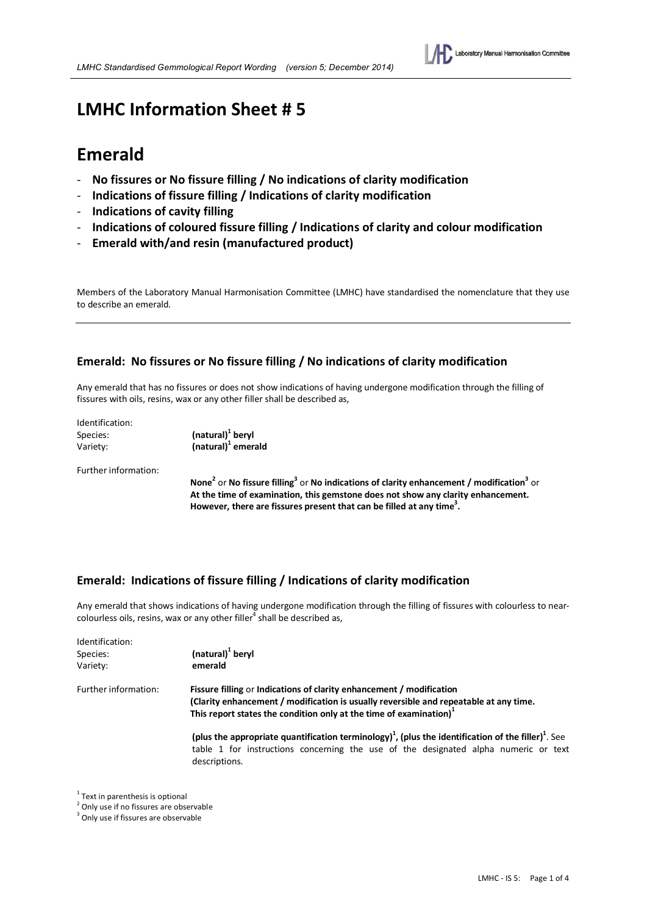

# **LMHC Information Sheet # 5**

# **Emerald**

- **No fissures or No fissure filling / No indications of clarity modification**
- **Indications of fissure filling / Indications of clarity modification**
- **Indications of cavity filling**
- **Indications of coloured fissure filling / Indications of clarity and colour modification**
- **Emerald with/and resin (manufactured product)**

Members of the Laboratory Manual Harmonisation Committee (LMHC) have standardised the nomenclature that they use to describe an emerald.

# **Emerald: No fissures or No fissure filling / No indications of clarity modification**

Any emerald that has no fissures or does not show indications of having undergone modification through the filling of fissures with oils, resins, wax or any other filler shall be described as,

| Identification: |                              |
|-----------------|------------------------------|
| Species:        | (natural) <sup>1</sup> beryl |
| Variety:        | $(natural)1$ emerald         |

Further information:

 **None<sup>2</sup> or No fissure filling<sup>3</sup> or No indications of clarity enhancement / modification<sup>3</sup> or At the time of examination, this gemstone does not show any clarity enhancement.**  However, there are fissures present that can be filled at any time<sup>3</sup>.

# **Emerald: Indications of fissure filling / Indications of clarity modification**

Any emerald that shows indications of having undergone modification through the filling of fissures with colourless to nearcolourless oils, resins, wax or any other filler<sup>4</sup> shall be described as,

| Identification:      |                                                                                                                                                                                                                                                 |  |  |
|----------------------|-------------------------------------------------------------------------------------------------------------------------------------------------------------------------------------------------------------------------------------------------|--|--|
| Species:             | (natural) <sup>1</sup> beryl                                                                                                                                                                                                                    |  |  |
| Variety:             | emerald                                                                                                                                                                                                                                         |  |  |
| Further information: | Fissure filling or Indications of clarity enhancement / modification<br>(Clarity enhancement / modification is usually reversible and repeatable at any time.<br>This report states the condition only at the time of examination) <sup>1</sup> |  |  |
|                      | (plus the appropriate quantification terminology) <sup>1</sup> , (plus the identification of the filler) <sup>1</sup> . See<br>table 1 for instructions concerning the use of the designated alpha numeric or text<br>descriptions.             |  |  |

 $1$  Text in parenthesis is optional

<sup>&</sup>lt;sup>2</sup> Only use if no fissures are observable

<sup>&</sup>lt;sup>3</sup> Only use if fissures are observable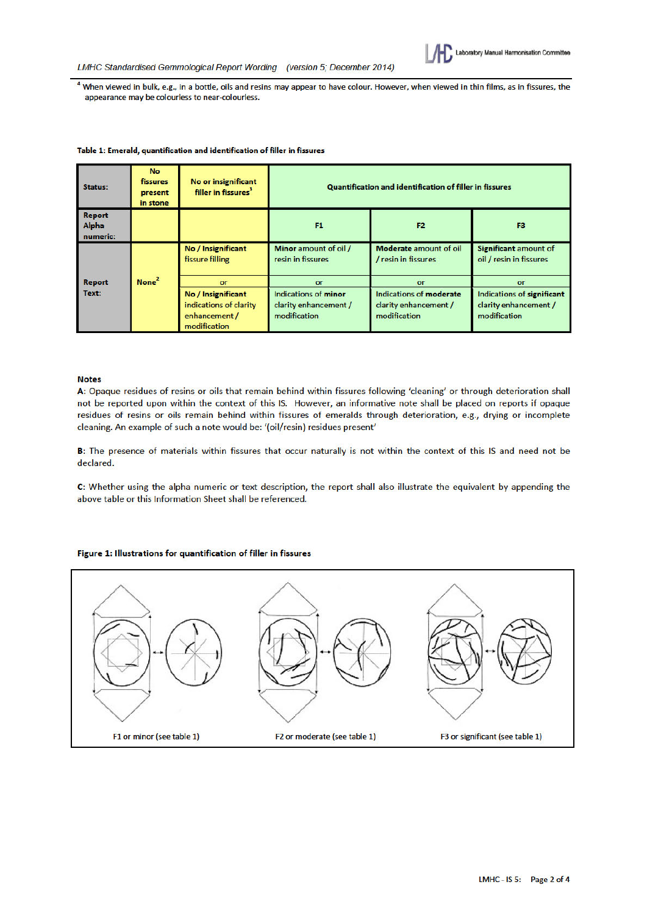

<sup>4</sup> When viewed in bulk, e.g., in a bottle, oils and resins may appear to have colour. However, when viewed in thin films, as in fissures, the appearance may be colourless to near-colourless.

| Status:                            | <b>No</b><br>fissures<br>present<br>in stone | No or insignificant<br>filler in fissures <sup>3</sup>  | Quantification and identification of filler in fissures |                                               |                                                  |
|------------------------------------|----------------------------------------------|---------------------------------------------------------|---------------------------------------------------------|-----------------------------------------------|--------------------------------------------------|
| <b>Report</b><br>Alpha<br>numeric: |                                              |                                                         | F <sub>1</sub>                                          | F <sub>2</sub>                                | F3                                               |
| <b>Report</b><br>Text:             | None <sup>2</sup><br>or                      | No / Insignificant<br>fissure filling                   | Minor amount of oil /<br>resin in fissures              | Moderate amount of oil<br>/ resin in fissures | Significant amount of<br>oil / resin in fissures |
|                                    |                                              | No / Insignificant                                      | or<br>Indications of minor                              | or<br>Indications of moderate                 | or<br>Indications of significant                 |
|                                    |                                              | indications of clarity<br>enhancement /<br>modification | clarity enhancement /<br>modification                   | clarity enhancement /<br>modification         | clarity enhancement /<br>modification            |

#### Table 1: Emerald, quantification and identification of filler in fissures

#### **Notes**

A: Opaque residues of resins or oils that remain behind within fissures following 'cleaning' or through deterioration shall not be reported upon within the context of this IS. However, an informative note shall be placed on reports if opaque residues of resins or oils remain behind within fissures of emeralds through deterioration, e.g., drying or incomplete cleaning. An example of such a note would be: '(oil/resin) residues present'

B: The presence of materials within fissures that occur naturally is not within the context of this IS and need not be declared.

C: Whether using the alpha numeric or text description, the report shall also illustrate the equivalent by appending the above table or this Information Sheet shall be referenced.

### Figure 1: Illustrations for quantification of filler in fissures

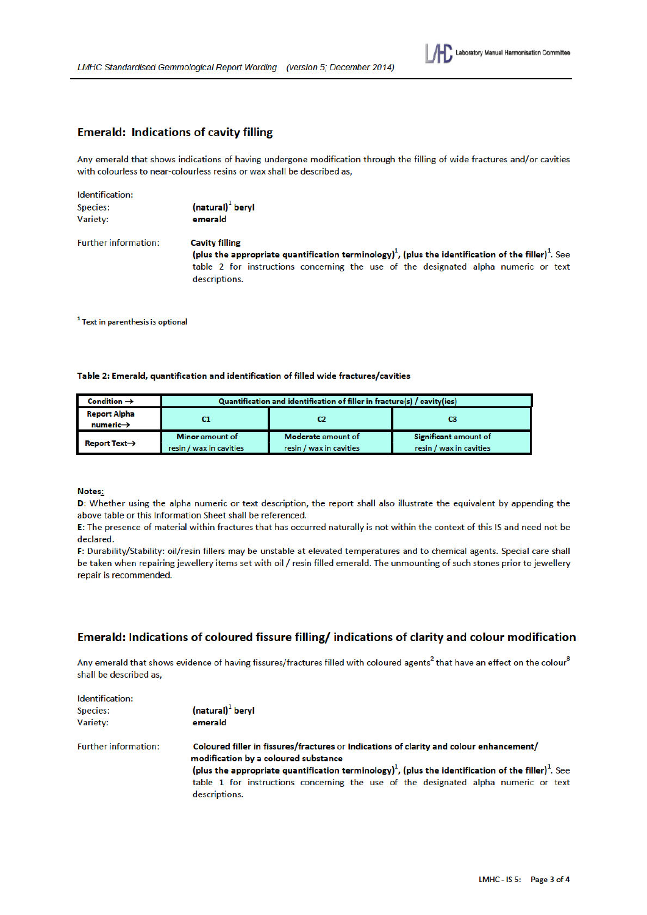

## **Emerald: Indications of cavity filling**

Any emerald that shows indications of having undergone modification through the filling of wide fractures and/or cavities with colourless to near-colourless resins or wax shall be described as,

| Identification:             |                                                                                                                             |  |  |
|-----------------------------|-----------------------------------------------------------------------------------------------------------------------------|--|--|
| Species:                    | (natural) <sup>1</sup> beryl                                                                                                |  |  |
| Variety:                    | emerald                                                                                                                     |  |  |
| <b>Further information:</b> | <b>Cavity filling</b>                                                                                                       |  |  |
|                             | (plus the appropriate quantification terminology) <sup>1</sup> , (plus the identification of the filler) <sup>1</sup> . See |  |  |
|                             | table 2 for instructions concerning the use of the designated alpha numeric or text                                         |  |  |
|                             | descriptions.                                                                                                               |  |  |

<sup>1</sup> Text in parenthesis is optional

#### Table 2: Emerald, quantification and identification of filled wide fractures/cavities

| Condition $\rightarrow$                      | Quantification and identification of filler in fracture(s) / cavity(ies) |                                               |                                                  |
|----------------------------------------------|--------------------------------------------------------------------------|-----------------------------------------------|--------------------------------------------------|
| <b>Report Alpha</b><br>$numeric \rightarrow$ |                                                                          | C2                                            | CЗ                                               |
| Report Text $\rightarrow$                    | <b>Minor</b> amount of<br>resin / wax in cavities                        | Moderate amount of<br>resin / wax in cavities | Significant amount of<br>resin / wax in cavities |

#### Notes:

D: Whether using the alpha numeric or text description, the report shall also illustrate the equivalent by appending the above table or this Information Sheet shall be referenced.

E: The presence of material within fractures that has occurred naturally is not within the context of this IS and need not be declared.

F: Durability/Stability: oil/resin fillers may be unstable at elevated temperatures and to chemical agents. Special care shall be taken when repairing jewellery items set with oil / resin filled emerald. The unmounting of such stones prior to jewellery repair is recommended.

# Emerald: Indications of coloured fissure filling/ indications of clarity and colour modification

Any emerald that shows evidence of having fissures/fractures filled with coloured agents<sup>2</sup> that have an effect on the colour<sup>3</sup> shall be described as,

| Identification:             |                                                                                                                                 |  |
|-----------------------------|---------------------------------------------------------------------------------------------------------------------------------|--|
| Species:                    | (natural) <sup>1</sup> beryl                                                                                                    |  |
| Variety:                    | emerald                                                                                                                         |  |
| <b>Further information:</b> | Coloured filler in fissures/fractures or Indications of clarity and colour enhancement/<br>modification by a coloured substance |  |
|                             | (plus the appropriate quantification terminology) <sup>1</sup> , (plus the identification of the filler) <sup>1</sup> . See     |  |
|                             | table 1 for instructions concerning the use of the designated alpha numeric or text                                             |  |
|                             | descriptions.                                                                                                                   |  |